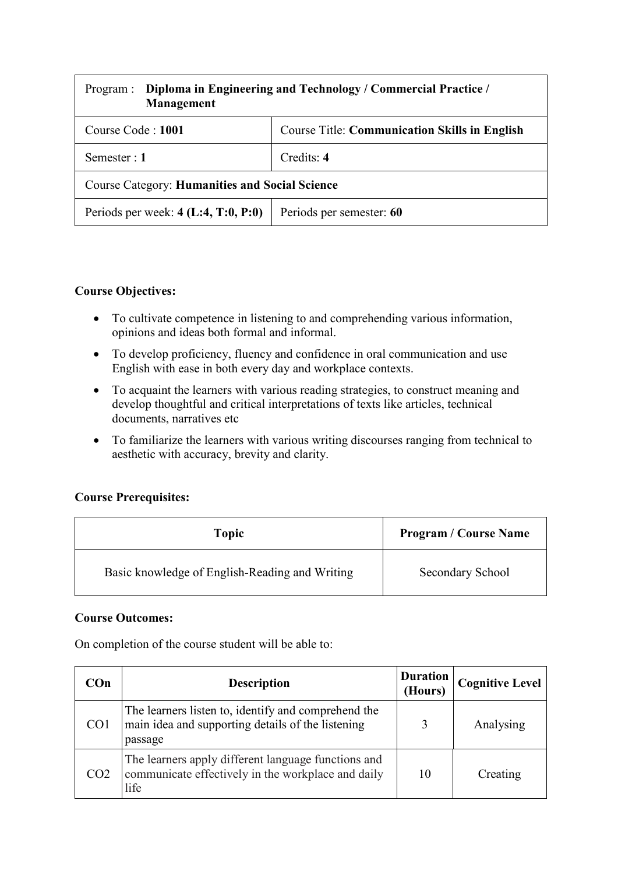| Program :<br><b>Management</b>                        | Diploma in Engineering and Technology / Commercial Practice / |  |  |  |
|-------------------------------------------------------|---------------------------------------------------------------|--|--|--|
| Course Code: 1001                                     | <b>Course Title: Communication Skills in English</b>          |  |  |  |
| Semester : $1$                                        | Credits: 4                                                    |  |  |  |
| <b>Course Category: Humanities and Social Science</b> |                                                               |  |  |  |
| Periods per week: $4$ (L:4, T:0, P:0)                 | Periods per semester: 60                                      |  |  |  |

#### **Course Objectives:**

- To cultivate competence in listening to and comprehending various information, opinions and ideas both formal and informal.
- To develop proficiency, fluency and confidence in oral communication and use English with ease in both every day and workplace contexts.
- To acquaint the learners with various reading strategies, to construct meaning and develop thoughtful and critical interpretations of texts like articles, technical documents, narratives etc
- To familiarize the learners with various writing discourses ranging from technical to aesthetic with accuracy, brevity and clarity.

## **Course Prerequisites:**

| Topic                                          | <b>Program / Course Name</b> |
|------------------------------------------------|------------------------------|
| Basic knowledge of English-Reading and Writing | Secondary School             |

#### **Course Outcomes:**

On completion of the course student will be able to:

| COn             | <b>Description</b>                                                                                                  | <b>Duration</b><br>(Hours) | <b>Cognitive Level</b> |
|-----------------|---------------------------------------------------------------------------------------------------------------------|----------------------------|------------------------|
| CO <sub>1</sub> | The learners listen to, identify and comprehend the<br>main idea and supporting details of the listening<br>passage | ζ                          | Analysing              |
| CO <sub>2</sub> | The learners apply different language functions and<br>communicate effectively in the workplace and daily<br>life   | 10                         | Creating               |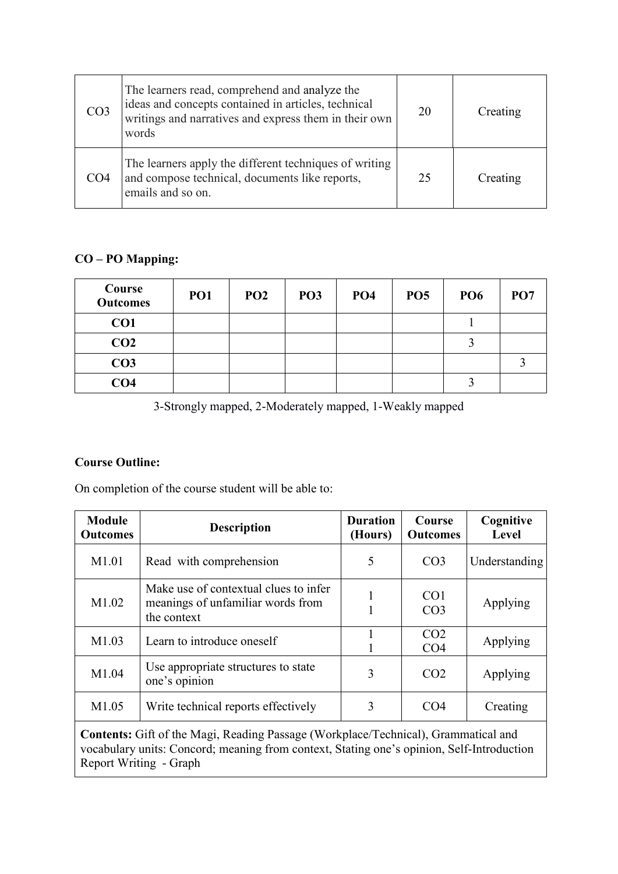| CO <sub>3</sub> | The learners read, comprehend and analyze the<br>ideas and concepts contained in articles, technical<br>writings and narratives and express them in their own<br>words | 20 | Creating |
|-----------------|------------------------------------------------------------------------------------------------------------------------------------------------------------------------|----|----------|
| CO <sub>4</sub> | The learners apply the different techniques of writing<br>and compose technical, documents like reports,<br>emails and so on.                                          | 25 | Creating |

## **CO – PO Mapping:**

| Course<br><b>Outcomes</b> | PO <sub>1</sub> | PO <sub>2</sub> | PO <sub>3</sub> | PO <sub>4</sub> | PO <sub>5</sub> | <b>PO6</b> | PO <sub>7</sub> |
|---------------------------|-----------------|-----------------|-----------------|-----------------|-----------------|------------|-----------------|
| CO <sub>1</sub>           |                 |                 |                 |                 |                 |            |                 |
| CO <sub>2</sub>           |                 |                 |                 |                 |                 |            |                 |
| CO <sub>3</sub>           |                 |                 |                 |                 |                 |            |                 |
| CO <sub>4</sub>           |                 |                 |                 |                 |                 | ◠          |                 |

3-Strongly mapped, 2-Moderately mapped, 1-Weakly mapped

## **Course Outline:**

On completion of the course student will be able to:

| <b>Module</b><br><b>Outcomes</b> | <b>Description</b>                                                                        | <b>Duration</b><br>(Hours) | Course<br><b>Outcomes</b>          | Cognitive<br><b>Level</b> |
|----------------------------------|-------------------------------------------------------------------------------------------|----------------------------|------------------------------------|---------------------------|
| M1.01                            | Read with comprehension                                                                   | 5                          | CO <sub>3</sub>                    | Understanding             |
| M <sub>1.02</sub>                | Make use of contextual clues to infer<br>meanings of unfamiliar words from<br>the context | 1                          | CO <sub>1</sub><br>CO <sub>3</sub> | Applying                  |
| M1.03                            | Learn to introduce oneself                                                                |                            | CO <sub>2</sub><br>CO <sub>4</sub> | Applying                  |
| M1.04                            | Use appropriate structures to state<br>one's opinion                                      | 3                          | CO <sub>2</sub>                    | Applying                  |
| M1.05                            | Write technical reports effectively                                                       | 3                          | CO <sub>4</sub>                    | Creating                  |

**Contents:** Gift of the Magi, Reading Passage (Workplace/Technical), Grammatical and vocabulary units: Concord; meaning from context, Stating one's opinion, Self-Introduction Report Writing - Graph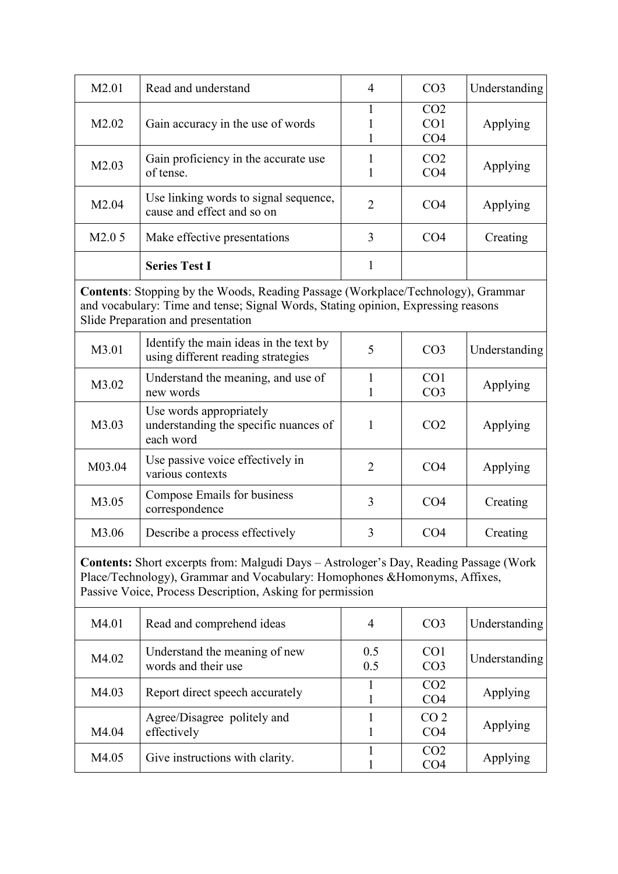| M <sub>2.01</sub> | Read and understand                                                 | $\overline{4}$ | CO <sub>3</sub>                                       | Understanding |
|-------------------|---------------------------------------------------------------------|----------------|-------------------------------------------------------|---------------|
| M <sub>2.02</sub> | Gain accuracy in the use of words                                   |                | CO <sub>2</sub><br>CO <sub>1</sub><br>CO <sub>4</sub> | Applying      |
| M2.03             | Gain proficiency in the accurate use<br>of tense.                   |                | CO <sub>2</sub><br>CO <sub>4</sub>                    | Applying      |
| M2.04             | Use linking words to signal sequence,<br>cause and effect and so on | $\mathcal{L}$  | CO <sub>4</sub>                                       | Applying      |
| M2.05             | Make effective presentations                                        | 3              | CO4                                                   | Creating      |
|                   | <b>Series Test I</b>                                                |                |                                                       |               |

**Contents**: Stopping by the Woods, Reading Passage (Workplace/Technology), Grammar and vocabulary: Time and tense; Signal Words, Stating opinion, Expressing reasons Slide Preparation and presentation

| M3.01  | Identify the main ideas in the text by<br>using different reading strategies  | 5              | CO <sub>3</sub>                    | Understanding |
|--------|-------------------------------------------------------------------------------|----------------|------------------------------------|---------------|
| M3.02  | Understand the meaning, and use of<br>new words                               |                | CO <sub>1</sub><br>CO <sub>3</sub> | Applying      |
| M3.03  | Use words appropriately<br>understanding the specific nuances of<br>each word | 1              | CO <sub>2</sub>                    | Applying      |
| M03.04 | Use passive voice effectively in<br>various contexts                          | $\overline{2}$ | CO <sub>4</sub>                    | Applying      |
| M3.05  | Compose Emails for business<br>correspondence                                 | 3              | CO <sub>4</sub>                    | Creating      |
| M3.06  | Describe a process effectively                                                | 3              | CO4                                | Creating      |

**Contents:** Short excerpts from: Malgudi Days – Astrologer's Day, Reading Passage (Work Place/Technology), Grammar and Vocabulary: Homophones &Homonyms, Affixes, Passive Voice, Process Description, Asking for permission

| M4.01 | Read and comprehend ideas                            | 4          | CO <sub>3</sub>                    | Understanding |
|-------|------------------------------------------------------|------------|------------------------------------|---------------|
| M4.02 | Understand the meaning of new<br>words and their use | 0.5<br>0.5 | CO <sub>1</sub><br>CO <sub>3</sub> | Understanding |
| M4.03 | Report direct speech accurately                      |            | CO <sub>2</sub><br>CO <sub>4</sub> | Applying      |
| M4.04 | Agree/Disagree politely and<br>effectively           |            | CO <sub>2</sub><br>CO <sub>4</sub> | Applying      |
| M4.05 | Give instructions with clarity.                      |            | CO <sub>2</sub><br>CO4             | Applying      |